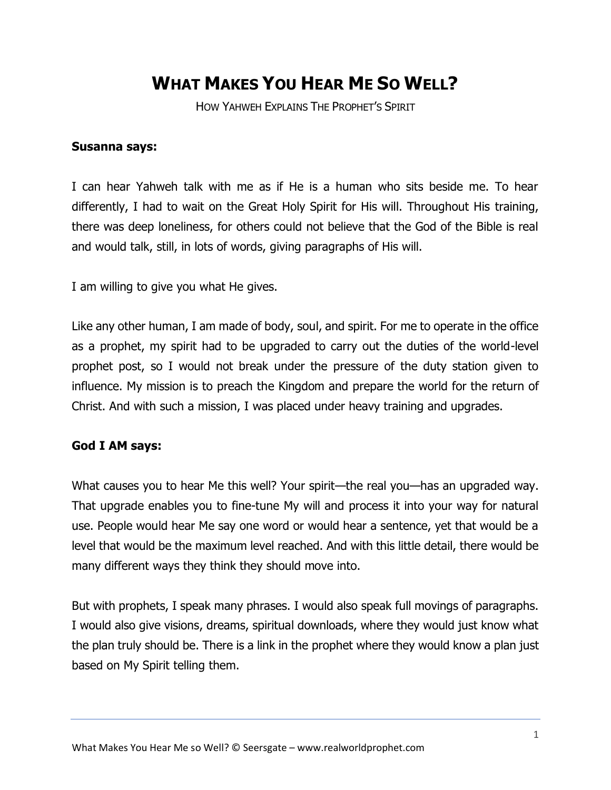## **WHAT MAKES YOU HEAR ME SO WELL?**

HOW YAHWEH EXPLAINS THE PROPHET'S SPIRIT

## **Susanna says:**

I can hear Yahweh talk with me as if He is a human who sits beside me. To hear differently, I had to wait on the Great Holy Spirit for His will. Throughout His training, there was deep loneliness, for others could not believe that the God of the Bible is real and would talk, still, in lots of words, giving paragraphs of His will.

I am willing to give you what He gives.

Like any other human, I am made of body, soul, and spirit. For me to operate in the office as a prophet, my spirit had to be upgraded to carry out the duties of the world-level prophet post, so I would not break under the pressure of the duty station given to influence. My mission is to preach the Kingdom and prepare the world for the return of Christ. And with such a mission, I was placed under heavy training and upgrades.

## **God I AM says:**

What causes you to hear Me this well? Your spirit—the real you—has an upgraded way. That upgrade enables you to fine-tune My will and process it into your way for natural use. People would hear Me say one word or would hear a sentence, yet that would be a level that would be the maximum level reached. And with this little detail, there would be many different ways they think they should move into.

But with prophets, I speak many phrases. I would also speak full movings of paragraphs. I would also give visions, dreams, spiritual downloads, where they would just know what the plan truly should be. There is a link in the prophet where they would know a plan just based on My Spirit telling them.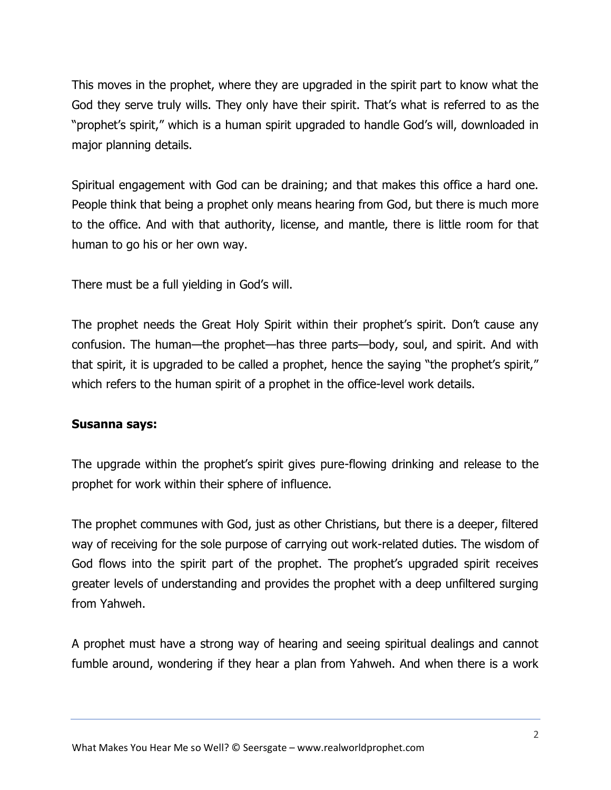This moves in the prophet, where they are upgraded in the spirit part to know what the God they serve truly wills. They only have their spirit. That's what is referred to as the "prophet's spirit," which is a human spirit upgraded to handle God's will, downloaded in major planning details.

Spiritual engagement with God can be draining; and that makes this office a hard one. People think that being a prophet only means hearing from God, but there is much more to the office. And with that authority, license, and mantle, there is little room for that human to go his or her own way.

There must be a full yielding in God's will.

The prophet needs the Great Holy Spirit within their prophet's spirit. Don't cause any confusion. The human—the prophet—has three parts—body, soul, and spirit. And with that spirit, it is upgraded to be called a prophet, hence the saying "the prophet's spirit," which refers to the human spirit of a prophet in the office-level work details.

## **Susanna says:**

The upgrade within the prophet's spirit gives pure-flowing drinking and release to the prophet for work within their sphere of influence.

The prophet communes with God, just as other Christians, but there is a deeper, filtered way of receiving for the sole purpose of carrying out work-related duties. The wisdom of God flows into the spirit part of the prophet. The prophet's upgraded spirit receives greater levels of understanding and provides the prophet with a deep unfiltered surging from Yahweh.

A prophet must have a strong way of hearing and seeing spiritual dealings and cannot fumble around, wondering if they hear a plan from Yahweh. And when there is a work